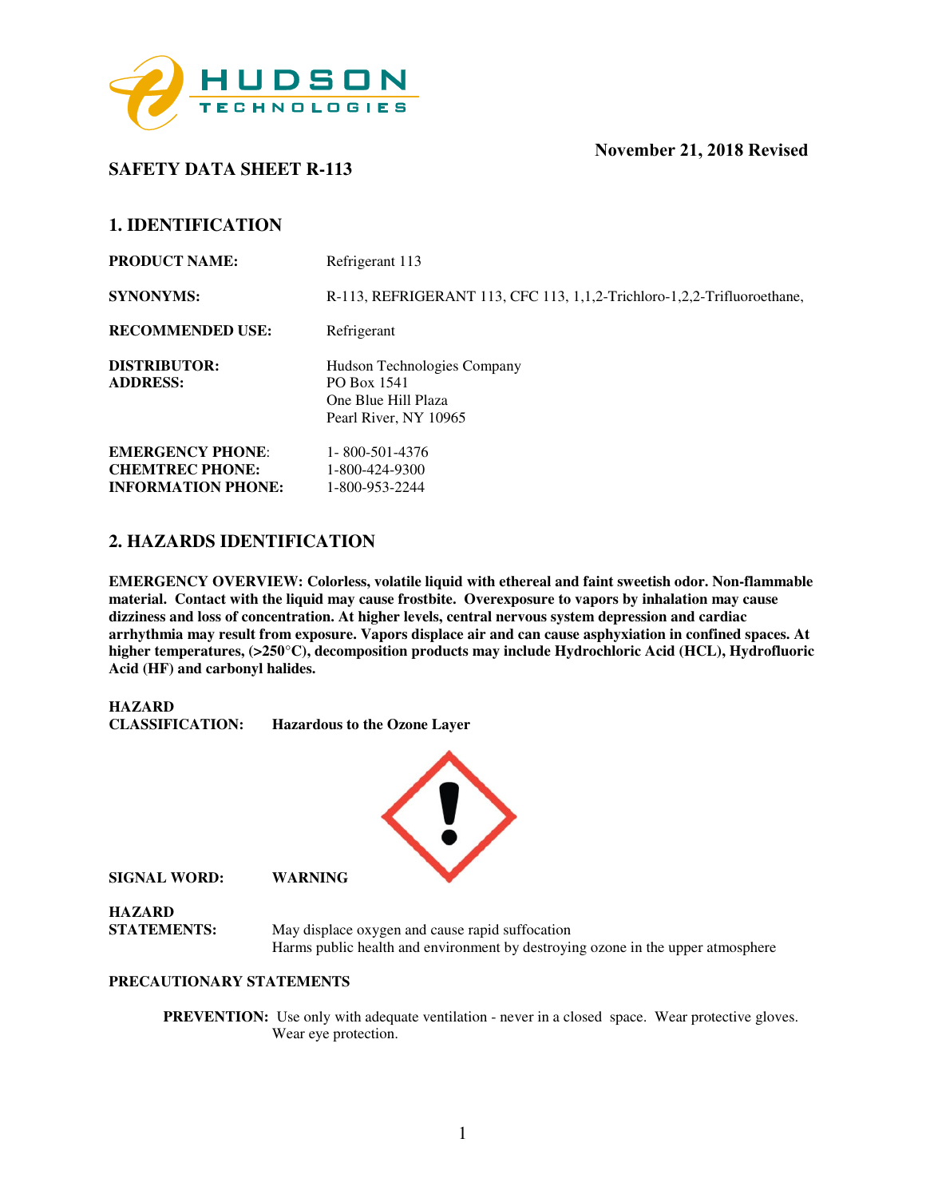

**1. IDENTIFICATION**

**SAFETY DATA SHEET R-113** 

| <u>LUENILEAIN</u>                                                              |                                                                                            |
|--------------------------------------------------------------------------------|--------------------------------------------------------------------------------------------|
| <b>PRODUCT NAME:</b>                                                           | Refrigerant 113                                                                            |
| <b>SYNONYMS:</b>                                                               | R-113, REFRIGERANT 113, CFC 113, 1,1,2-Trichloro-1,2,2-Trifluoroethane,                    |
| <b>RECOMMENDED USE:</b>                                                        | Refrigerant                                                                                |
| <b>DISTRIBUTOR:</b><br><b>ADDRESS:</b>                                         | Hudson Technologies Company<br>PO Box 1541<br>One Blue Hill Plaza<br>Pearl River, NY 10965 |
| <b>EMERGENCY PHONE:</b><br><b>CHEMTREC PHONE:</b><br><b>INFORMATION PHONE:</b> | 1-800-501-4376<br>1-800-424-9300<br>1-800-953-2244                                         |

#### **2. HAZARDS IDENTIFICATION**

**EMERGENCY OVERVIEW: Colorless, volatile liquid with ethereal and faint sweetish odor. Non-flammable material. Contact with the liquid may cause frostbite. Overexposure to vapors by inhalation may cause dizziness and loss of concentration. At higher levels, central nervous system depression and cardiac arrhythmia may result from exposure. Vapors displace air and can cause asphyxiation in confined spaces. At higher temperatures, (>250**°**C), decomposition products may include Hydrochloric Acid (HCL), Hydrofluoric Acid (HF) and carbonyl halides.** 

| HAZARD                 |                                     |
|------------------------|-------------------------------------|
| <b>CLASSIFICATION:</b> | <b>Hazardous to the Ozone Layer</b> |



**SIGNAL WORD: WARNING** 

**HAZARD** 

**STATEMENTS:** May displace oxygen and cause rapid suffocation Harms public health and environment by destroying ozone in the upper atmosphere

#### **PRECAUTIONARY STATEMENTS**

**PREVENTION:** Use only with adequate ventilation - never in a closed space. Wear protective gloves. Wear eye protection.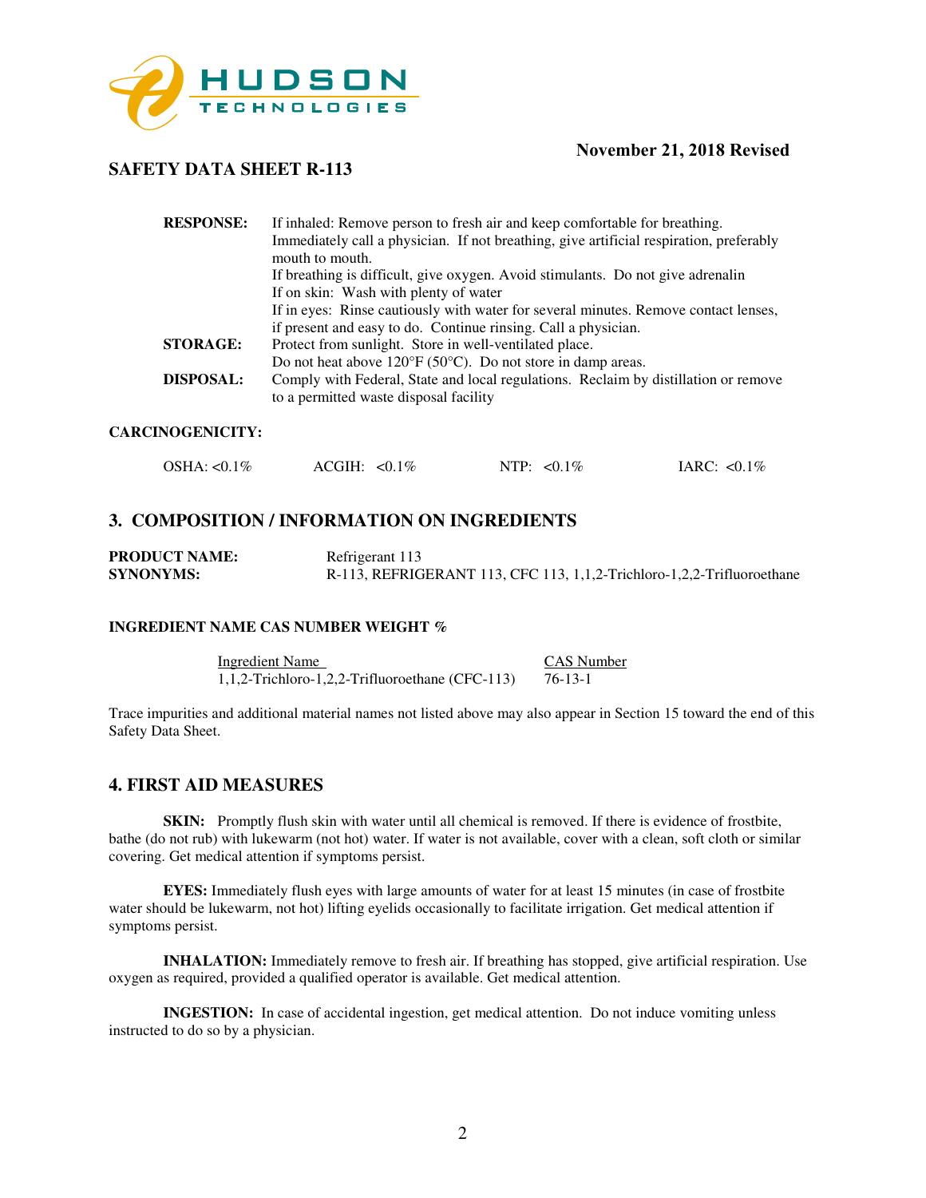

## **SAFETY DATA SHEET R-113**

| <b>RESPONSE:</b> | If inhaled: Remove person to fresh air and keep comfortable for breathing.<br>Immediately call a physician. If not breathing, give artificial respiration, preferably<br>mouth to mouth. |
|------------------|------------------------------------------------------------------------------------------------------------------------------------------------------------------------------------------|
|                  | If breathing is difficult, give oxygen. Avoid stimulants. Do not give adrenalin                                                                                                          |
|                  | If on skin: Wash with plenty of water                                                                                                                                                    |
|                  | If in eyes: Rinse cautiously with water for several minutes. Remove contact lenses,                                                                                                      |
|                  | if present and easy to do. Continue rinsing. Call a physician.                                                                                                                           |
| <b>STORAGE:</b>  | Protect from sunlight. Store in well-ventilated place.                                                                                                                                   |
|                  | Do not heat above $120^{\circ}F(50^{\circ}C)$ . Do not store in damp areas.                                                                                                              |
| <b>DISPOSAL:</b> | Comply with Federal, State and local regulations. Reclaim by distillation or remove<br>to a permitted waste disposal facility                                                            |

#### **CARCINOGENICITY:**

| OSHA: <0.1%<br>$ACGH: <0.1\%$ | NTP: $< 0.1\%$ | IARC: $< 0.1\%$ |
|-------------------------------|----------------|-----------------|
|-------------------------------|----------------|-----------------|

## **3. COMPOSITION / INFORMATION ON INGREDIENTS**

| <b>PRODUCT NAME:</b> | Refrigerant 113                                                        |
|----------------------|------------------------------------------------------------------------|
| <b>SYNONYMS:</b>     | R-113, REFRIGERANT 113, CFC 113, 1,1,2-Trichloro-1,2,2-Trifluoroethane |

#### **INGREDIENT NAME CAS NUMBER WEIGHT %**

Ingredient Name CAS Number 1,1,2-Trichloro-1,2,2-Trifluoroethane (CFC-113) 76-13-1

Trace impurities and additional material names not listed above may also appear in Section 15 toward the end of this Safety Data Sheet.

#### **4. FIRST AID MEASURES**

**SKIN:** Promptly flush skin with water until all chemical is removed. If there is evidence of frostbite, bathe (do not rub) with lukewarm (not hot) water. If water is not available, cover with a clean, soft cloth or similar covering. Get medical attention if symptoms persist.

**EYES:** Immediately flush eyes with large amounts of water for at least 15 minutes (in case of frostbite water should be lukewarm, not hot) lifting eyelids occasionally to facilitate irrigation. Get medical attention if symptoms persist.

**INHALATION:** Immediately remove to fresh air. If breathing has stopped, give artificial respiration. Use oxygen as required, provided a qualified operator is available. Get medical attention.

**INGESTION:** In case of accidental ingestion, get medical attention. Do not induce vomiting unless instructed to do so by a physician.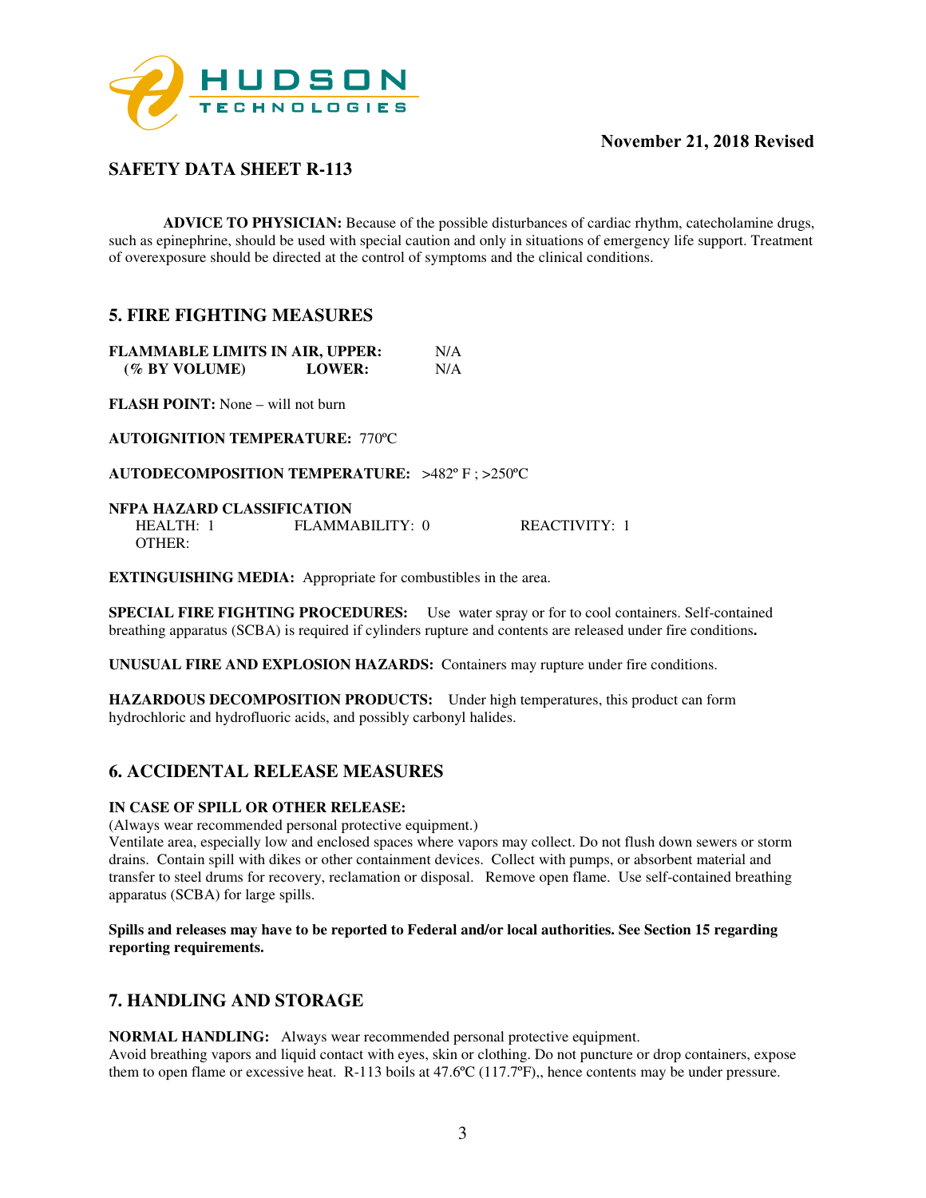

# **SAFETY DATA SHEET R-113**

**ADVICE TO PHYSICIAN:** Because of the possible disturbances of cardiac rhythm, catecholamine drugs, such as epinephrine, should be used with special caution and only in situations of emergency life support. Treatment of overexposure should be directed at the control of symptoms and the clinical conditions.

## **5. FIRE FIGHTING MEASURES**

| <b>FLAMMABLE LIMITS IN AIR, UPPER:</b> |               | N/A |
|----------------------------------------|---------------|-----|
| (% BY VOLUME)                          | <b>LOWER:</b> | N/A |

**FLASH POINT:** None – will not burn

**AUTOIGNITION TEMPERATURE:** 770ºC

**AUTODECOMPOSITION TEMPERATURE:** >482º F ; >250ºC

#### **NFPA HAZARD CLASSIFICATION**

| <b>HEALTH:</b> | $FI$ AMMARILITY: 0 | REACTIVITY: |
|----------------|--------------------|-------------|
| OTHER:         |                    |             |

**EXTINGUISHING MEDIA:** Appropriate for combustibles in the area.

**SPECIAL FIRE FIGHTING PROCEDURES:** Use water spray or for to cool containers. Self-contained breathing apparatus (SCBA) is required if cylinders rupture and contents are released under fire conditions**.** 

**UNUSUAL FIRE AND EXPLOSION HAZARDS:** Containers may rupture under fire conditions.

**HAZARDOUS DECOMPOSITION PRODUCTS:** Under high temperatures, this product can form hydrochloric and hydrofluoric acids, and possibly carbonyl halides.

## **6. ACCIDENTAL RELEASE MEASURES**

#### **IN CASE OF SPILL OR OTHER RELEASE:**

(Always wear recommended personal protective equipment.)

Ventilate area, especially low and enclosed spaces where vapors may collect. Do not flush down sewers or storm drains. Contain spill with dikes or other containment devices. Collect with pumps, or absorbent material and transfer to steel drums for recovery, reclamation or disposal. Remove open flame. Use self-contained breathing apparatus (SCBA) for large spills.

**Spills and releases may have to be reported to Federal and/or local authorities. See Section 15 regarding reporting requirements.** 

## **7. HANDLING AND STORAGE**

**NORMAL HANDLING:** Always wear recommended personal protective equipment.

Avoid breathing vapors and liquid contact with eyes, skin or clothing. Do not puncture or drop containers, expose them to open flame or excessive heat. R-113 boils at 47.6ºC (117.7ºF),, hence contents may be under pressure.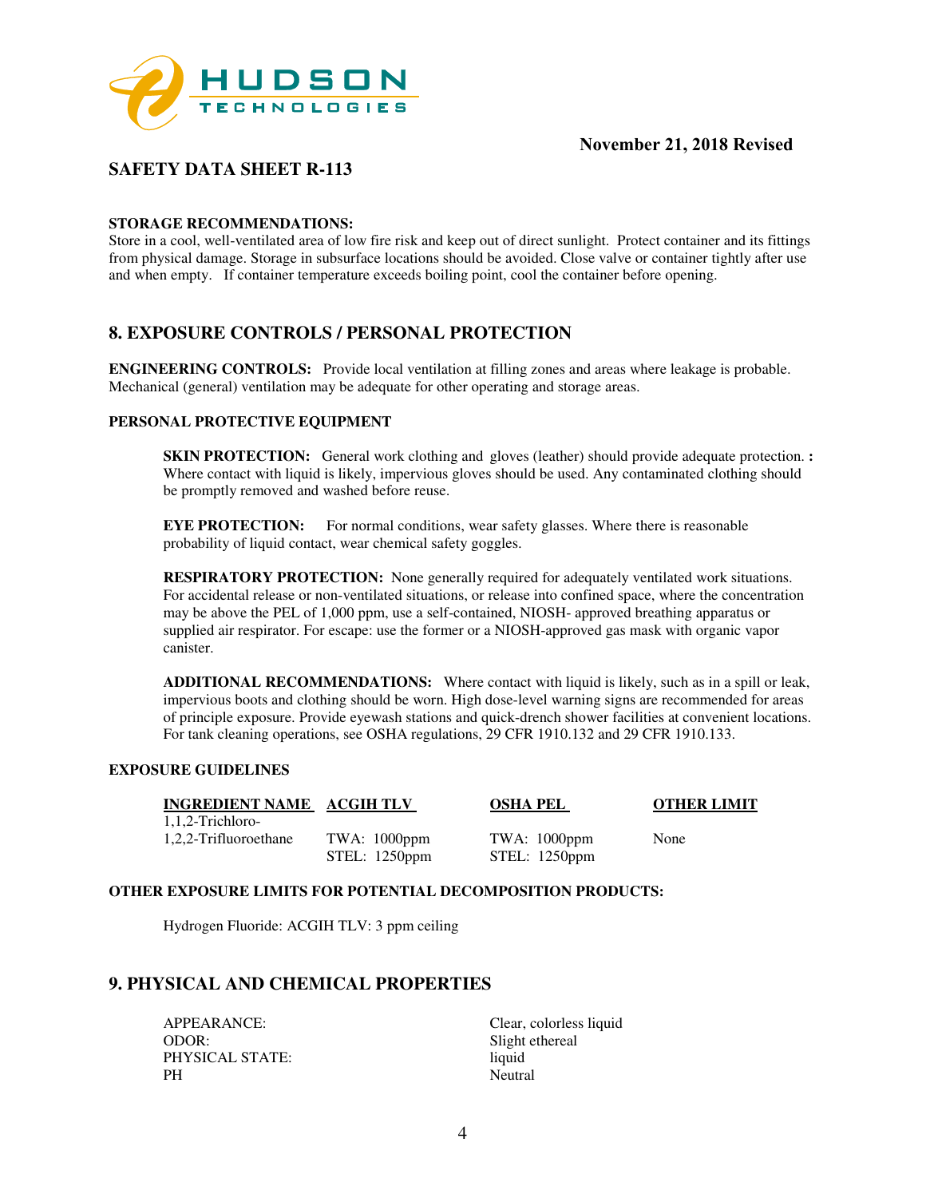

# **SAFETY DATA SHEET R-113**

#### **STORAGE RECOMMENDATIONS:**

Store in a cool, well-ventilated area of low fire risk and keep out of direct sunlight. Protect container and its fittings from physical damage. Storage in subsurface locations should be avoided. Close valve or container tightly after use and when empty. If container temperature exceeds boiling point, cool the container before opening.

# **8. EXPOSURE CONTROLS / PERSONAL PROTECTION**

**ENGINEERING CONTROLS:** Provide local ventilation at filling zones and areas where leakage is probable. Mechanical (general) ventilation may be adequate for other operating and storage areas.

#### **PERSONAL PROTECTIVE EQUIPMENT**

**SKIN PROTECTION:** General work clothing and gloves (leather) should provide adequate protection. **:** Where contact with liquid is likely, impervious gloves should be used. Any contaminated clothing should be promptly removed and washed before reuse.

**EYE PROTECTION:** For normal conditions, wear safety glasses. Where there is reasonable probability of liquid contact, wear chemical safety goggles.

**RESPIRATORY PROTECTION:** None generally required for adequately ventilated work situations. For accidental release or non-ventilated situations, or release into confined space, where the concentration may be above the PEL of 1,000 ppm, use a self-contained, NIOSH- approved breathing apparatus or supplied air respirator. For escape: use the former or a NIOSH-approved gas mask with organic vapor canister.

**ADDITIONAL RECOMMENDATIONS:** Where contact with liquid is likely, such as in a spill or leak, impervious boots and clothing should be worn. High dose-level warning signs are recommended for areas of principle exposure. Provide eyewash stations and quick-drench shower facilities at convenient locations. For tank cleaning operations, see OSHA regulations, 29 CFR 1910.132 and 29 CFR 1910.133.

#### **EXPOSURE GUIDELINES**

**INGREDIENT NAME ACGIH TLV OSHA PEL OTHER LIMIT** 1,1,2-Trichloro-1,2,2-Trifluoroethane TWA: 1000ppm TWA: 1000ppm None<br>STEL: 1250ppm STEL: 1250ppm

STEL: 1250ppm

#### **OTHER EXPOSURE LIMITS FOR POTENTIAL DECOMPOSITION PRODUCTS:**

Hydrogen Fluoride: ACGIH TLV: 3 ppm ceiling

## **9. PHYSICAL AND CHEMICAL PROPERTIES**

APPEARANCE: Clear, colorless liquid ODOR: Slight ethereal PHYSICAL STATE: liquid PH Neutral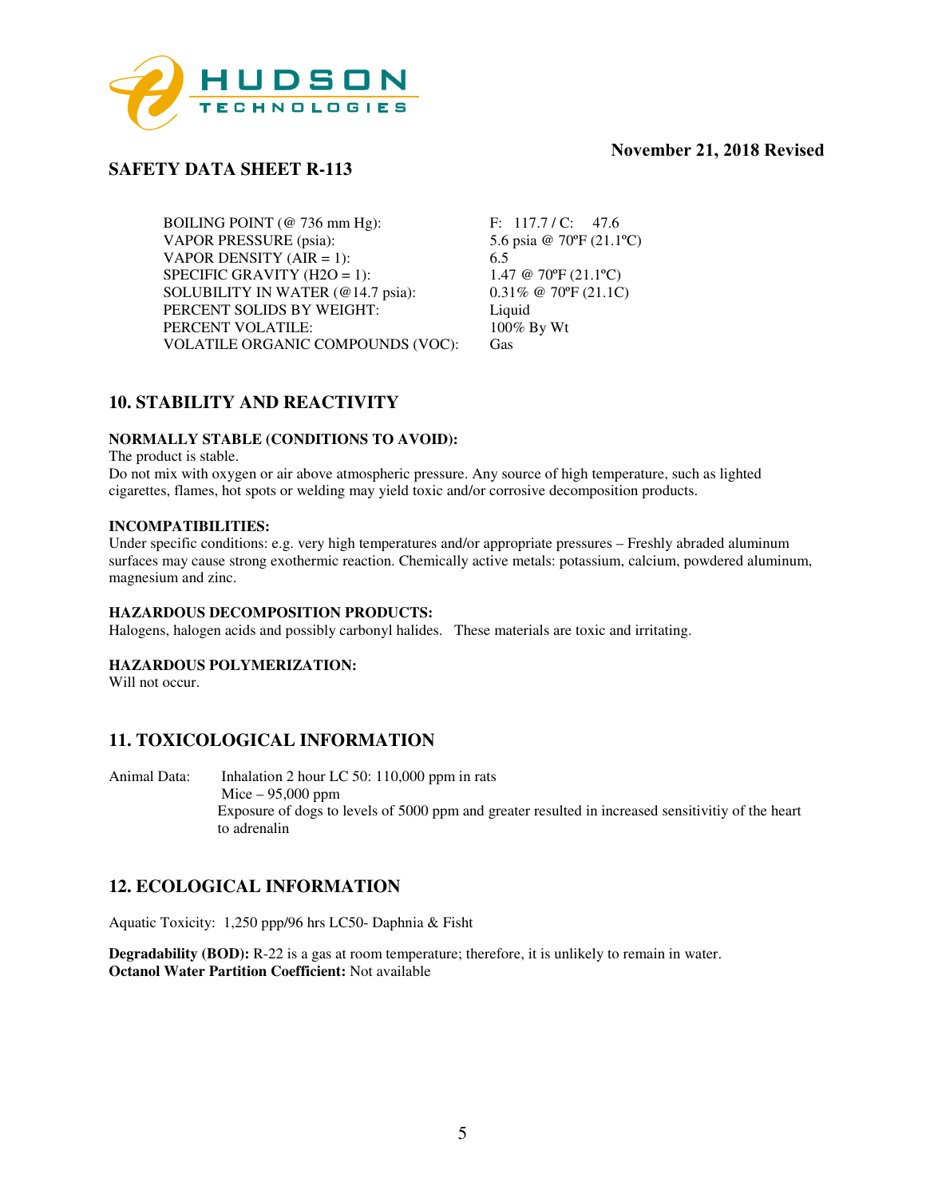

# **SAFETY DATA SHEET R-113**

BOILING POINT (@ 736 mm Hg): F: 117.7 / C: 47.6<br>VAPOR PRESSURE (psia): 5.6 psia @ 70°F (21.1°C) VAPOR PRESSURE (psia): VAPOR DENSITY  $(AIR = 1)$ : 6.5 SPECIFIC GRAVITY (H2O = 1):  $1.47 \text{ } @ 70\text{ }P (21.1\text{ }°C)$ <br>SOLUBILITY IN WATER ( $@ 14.7$  psia):  $0.31\%$   $@ 70\text{ }°F (21.1\text{ }°C)$ SOLUBILITY IN WATER (@14.7 psia): PERCENT SOLIDS BY WEIGHT: Liquid PERCENT VOLATILE: 100% By Wt VOLATILE ORGANIC COMPOUNDS (VOC): Gas

# **10. STABILITY AND REACTIVITY**

#### **NORMALLY STABLE (CONDITIONS TO AVOID):**

The product is stable.

Do not mix with oxygen or air above atmospheric pressure. Any source of high temperature, such as lighted cigarettes, flames, hot spots or welding may yield toxic and/or corrosive decomposition products.

#### **INCOMPATIBILITIES:**

Under specific conditions: e.g. very high temperatures and/or appropriate pressures – Freshly abraded aluminum surfaces may cause strong exothermic reaction. Chemically active metals: potassium, calcium, powdered aluminum, magnesium and zinc.

#### **HAZARDOUS DECOMPOSITION PRODUCTS:**

Halogens, halogen acids and possibly carbonyl halides. These materials are toxic and irritating.

#### **HAZARDOUS POLYMERIZATION:**

Will not occur.

# **11. TOXICOLOGICAL INFORMATION**

Animal Data: Inhalation 2 hour LC 50: 110,000 ppm in rats Mice – 95,000 ppm Exposure of dogs to levels of 5000 ppm and greater resulted in increased sensitivitiy of the heart to adrenalin

## **12. ECOLOGICAL INFORMATION**

Aquatic Toxicity: 1,250 ppp/96 hrs LC50- Daphnia & Fisht

**Degradability (BOD):** R-22 is a gas at room temperature; therefore, it is unlikely to remain in water. **Octanol Water Partition Coefficient:** Not available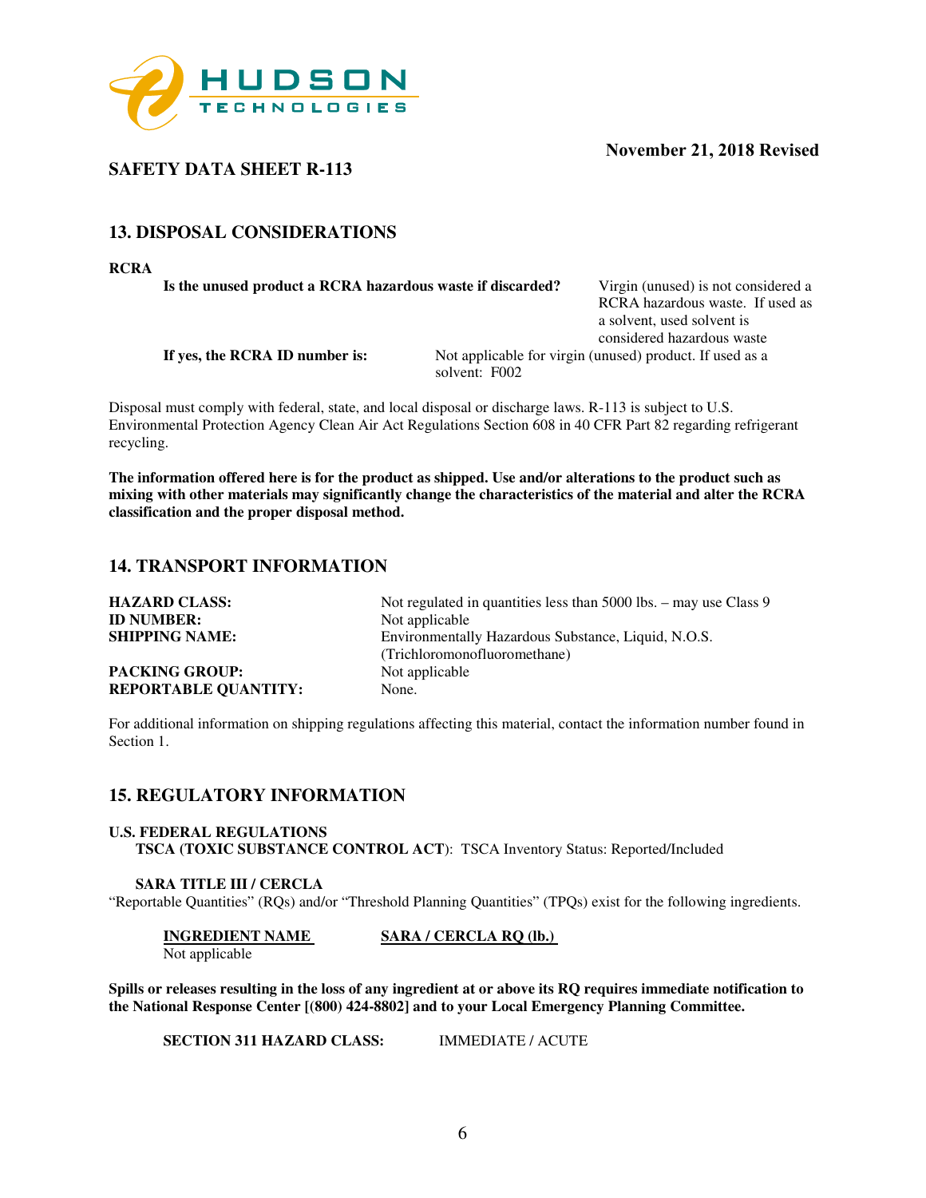

**SAFETY DATA SHEET R-113** 

# **13. DISPOSAL CONSIDERATIONS**

**RCRA** 

**Is the unused product a RCRA hazardous waste if discarded?** Virgin (unused) is not considered a

RCRA hazardous waste. If used as a solvent, used solvent is considered hazardous waste

**If yes, the RCRA ID number is:** Not applicable for virgin (unused) product. If used as a solvent: F002

Disposal must comply with federal, state, and local disposal or discharge laws. R-113 is subject to U.S. Environmental Protection Agency Clean Air Act Regulations Section 608 in 40 CFR Part 82 regarding refrigerant recycling.

**The information offered here is for the product as shipped. Use and/or alterations to the product such as mixing with other materials may significantly change the characteristics of the material and alter the RCRA classification and the proper disposal method.** 

# **14. TRANSPORT INFORMATION**

| <b>HAZARD CLASS:</b>        | Not regulated in quantities less than $5000$ lbs. $-$ may use Class 9 |
|-----------------------------|-----------------------------------------------------------------------|
| <b>ID NUMBER:</b>           | Not applicable                                                        |
| <b>SHIPPING NAME:</b>       | Environmentally Hazardous Substance, Liquid, N.O.S.                   |
|                             | (Trichloromonofluoromethane)                                          |
| <b>PACKING GROUP:</b>       | Not applicable                                                        |
| <b>REPORTABLE QUANTITY:</b> | None.                                                                 |

For additional information on shipping regulations affecting this material, contact the information number found in Section 1.

#### **15. REGULATORY INFORMATION**

#### **U.S. FEDERAL REGULATIONS TSCA (TOXIC SUBSTANCE CONTROL ACT**): TSCA Inventory Status: Reported/Included

#### **SARA TITLE III / CERCLA**

"Reportable Quantities" (RQs) and/or "Threshold Planning Quantities" (TPQs) exist for the following ingredients.

**INGREDIENT NAME** SARA / CERCLA RQ (lb.)

Not applicable

**Spills or releases resulting in the loss of any ingredient at or above its RQ requires immediate notification to the National Response Center [(800) 424-8802] and to your Local Emergency Planning Committee.** 

**SECTION 311 HAZARD CLASS:** IMMEDIATE / ACUTE